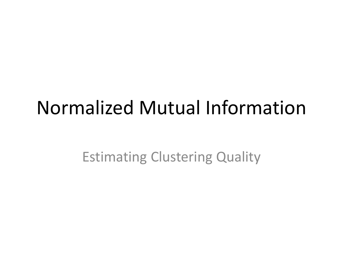#### Normalized Mutual Information

Estimating Clustering Quality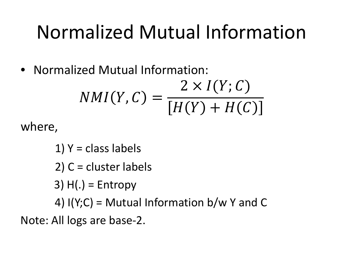## Normalized Mutual Information

• Normalized Mutual Information:

$$
NMI(Y, C) = \frac{2 \times I(Y; C)}{[H(Y) + H(C)]}
$$

where,

1)  $Y = class labels$ 

2) C = cluster labels

 $3)$  H(.) = Entropy

4)  $I(Y;C)$  = Mutual Information b/w Y and C

Note: All logs are base-2.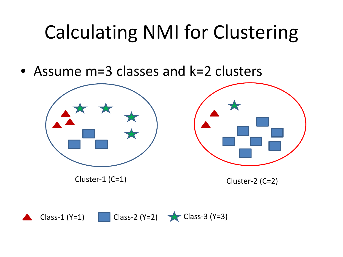# Calculating NMI for Clustering

• Assume m=3 classes and k=2 clusters



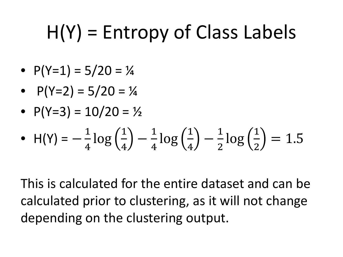# H(Y) = Entropy of Class Labels

- $P(Y=1) = 5/20 = \frac{1}{4}$
- $P(Y=2) = 5/20 = \frac{1}{4}$
- $P(Y=3) = 10/20 = 1/2$

• 
$$
H(Y) = -\frac{1}{4}\log(\frac{1}{4}) - \frac{1}{4}\log(\frac{1}{4}) - \frac{1}{2}\log(\frac{1}{2}) = 1.5
$$

This is calculated for the entire dataset and can be calculated prior to clustering, as it will not change depending on the clustering output.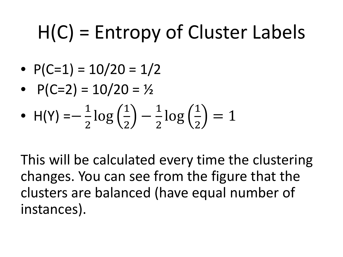# H(C) = Entropy of Cluster Labels

- $P(C=1) = 10/20 = 1/2$
- $P(C=2) = 10/20 = 1/2$
- H(Y) = $-\frac{1}{2}$ log $\left(\frac{1}{2}\right) \frac{1}{2}$ log $\left(\frac{1}{2}\right)$  $=$  1

This will be calculated every time the clustering changes. You can see from the figure that the clusters are balanced (have equal number of instances).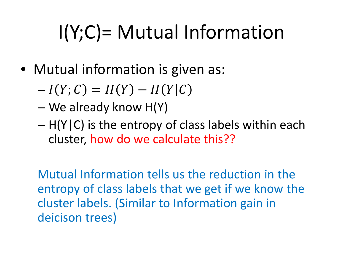# I(Y;C)= Mutual Information

- Mutual information is given as:
	- $-I(Y; C) = H(Y) H(Y|C)$
	- We already know H(Y)
	- $H(Y|C)$  is the entropy of class labels within each cluster, how do we calculate this??

Mutual Information tells us the reduction in the entropy of class labels that we get if we know the cluster labels. (Similar to Information gain in deicison trees)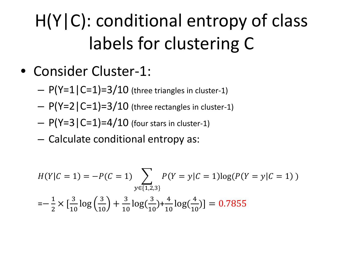- Consider Cluster-1:
	- $-$  P(Y=1|C=1)=3/10 (three triangles in cluster-1)
	- $-$  P(Y=2 | C=1)=3/10 (three rectangles in cluster-1)
	- $P(Y=3|C=1)=4/10$  (four stars in cluster-1)
	- Calculate conditional entropy as:

$$
H(Y|C = 1) = -P(C = 1) \sum_{y \in \{1, 2, 3\}} P(Y = y|C = 1) \log(P(Y = y|C = 1))
$$
  
=  $-\frac{1}{2} \times [\frac{3}{10} \log(\frac{3}{10}) + \frac{3}{10} \log(\frac{3}{10}) + \frac{4}{10} \log(\frac{4}{10})] = 0.7855$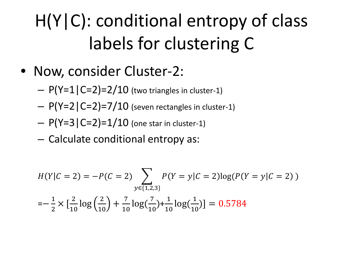- Now, consider Cluster-2:
	- $-$  P(Y=1|C=2)=2/10 (two triangles in cluster-1)
	- $P(Y=2|C=2)=7/10$  (seven rectangles in cluster-1)
	- $P(Y=3 | C=2)=1/10$  (one star in cluster-1)
	- Calculate conditional entropy as:

$$
H(Y|C=2) = -P(C=2) \sum_{y \in \{1,2,3\}} P(Y=y|C=2) \log(P(Y=y|C=2))
$$
  
=  $-\frac{1}{2} \times [\frac{2}{10} \log(\frac{2}{10}) + \frac{7}{10} \log(\frac{7}{10}) + \frac{1}{10} \log(\frac{1}{10})] = 0.5784$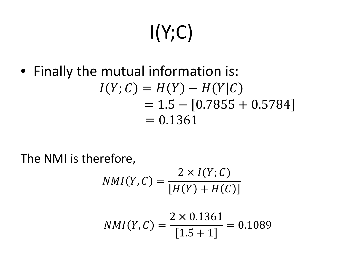# $I(Y;C)$

• Finally the mutual information is:  $I(Y; C) = H(Y) - H(Y|C)$  $= 1.5 - [0.7855 + 0.5784]$  $= 0.1361$ 

The NMI is therefore,

$$
NMI(Y, C) = \frac{2 \times I(Y; C)}{[H(Y) + H(C)]}
$$

$$
NMI(Y, C) = \frac{2 \times 0.1361}{[1.5 + 1]} = 0.1089
$$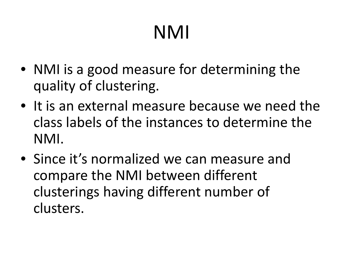# NMI

- NMI is a good measure for determining the quality of clustering.
- It is an external measure because we need the class labels of the instances to determine the NMI.
- Since it's normalized we can measure and compare the NMI between different clusterings having different number of clusters.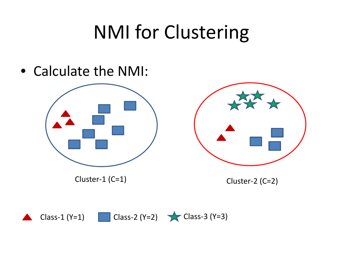## NMI for Clustering

• Calculate the NMI:



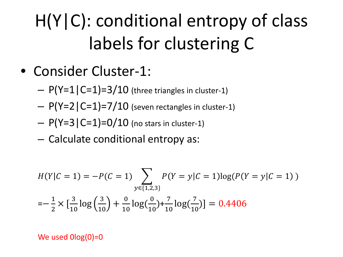- Consider Cluster-1:
	- $-$  P(Y=1|C=1)=3/10 (three triangles in cluster-1)
	- $-$  P(Y=2 | C=1)=7/10 (seven rectangles in cluster-1)
	- $P(Y=3|C=1)=0/10$  (no stars in cluster-1)
	- Calculate conditional entropy as:

$$
H(Y|C = 1) = -P(C = 1) \sum_{y \in \{1,2,3\}} P(Y = y|C = 1) \log(P(Y = y|C = 1))
$$
  
=  $-\frac{1}{2} \times [\frac{3}{10} \log(\frac{3}{10}) + \frac{0}{10} \log(\frac{0}{10}) + \frac{7}{10} \log(\frac{7}{10})] = 0.4406$ 

We used  $Olog(0)=0$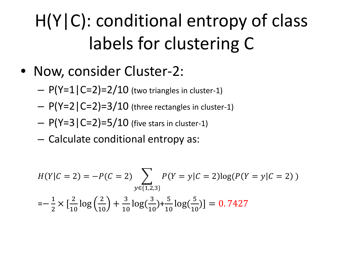- Now, consider Cluster-2:
	- $-$  P(Y=1|C=2)=2/10 (two triangles in cluster-1)
	- $P(Y=2|C=2)=3/10$  (three rectangles in cluster-1)
	- $P(Y=3 | C=2)=5/10$  (five stars in cluster-1)
	- Calculate conditional entropy as:

$$
H(Y|C=2) = -P(C=2) \sum_{y \in \{1,2,3\}} P(Y=y|C=2) \log(P(Y=y|C=2))
$$
  
=  $-\frac{1}{2} \times [\frac{2}{10} \log(\frac{2}{10}) + \frac{3}{10} \log(\frac{3}{10}) + \frac{5}{10} \log(\frac{5}{10})] = 0.7427$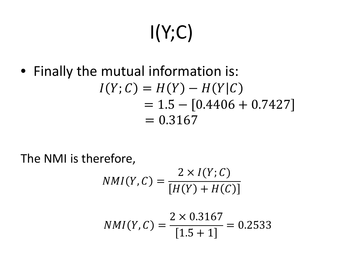# $I(Y;C)$

• Finally the mutual information is:  $I(Y; C) = H(Y) - H(Y|C)$  $= 1.5 - [0.4406 + 0.7427]$  $= 0.3167$ 

The NMI is therefore,

$$
NMI(Y, C) = \frac{2 \times I(Y; C)}{[H(Y) + H(C)]}
$$

$$
NMI(Y, C) = \frac{2 \times 0.3167}{[1.5 + 1]} = 0.2533
$$